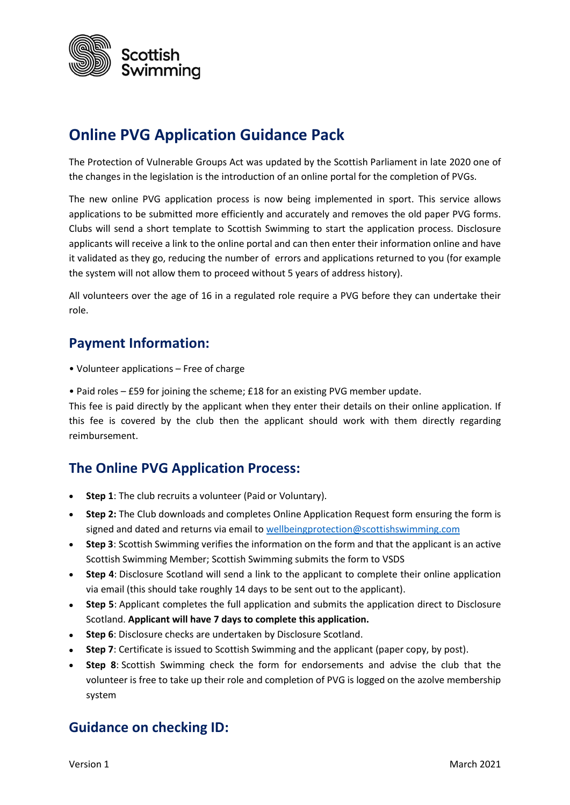

# **Online PVG Application Guidance Pack**

The Protection of Vulnerable Groups Act was updated by the Scottish Parliament in late 2020 one of the changes in the legislation is the introduction of an online portal for the completion of PVGs.

The new online PVG application process is now being implemented in sport. This service allows applications to be submitted more efficiently and accurately and removes the old paper PVG forms. Clubs will send a short template to Scottish Swimming to start the application process. Disclosure applicants will receive a link to the online portal and can then enter their information online and have it validated as they go, reducing the number of errors and applications returned to you (for example the system will not allow them to proceed without 5 years of address history).

All volunteers over the age of 16 in a regulated role require a PVG before they can undertake their role.

#### **Payment Information:**

- Volunteer applications Free of charge
- Paid roles £59 for joining the scheme; £18 for an existing PVG member update.

This fee is paid directly by the applicant when they enter their details on their online application. If this fee is covered by the club then the applicant should work with them directly regarding reimbursement.

#### **The Online PVG Application Process:**

- **Step 1**: The club recruits a volunteer (Paid or Voluntary).
- **Step 2:** The Club downloads and completes Online Application Request form ensuring the form is signed and dated and returns via email to [wellbeingprotection@scottishswimming.com](mailto:wellbeingprotection@scottishswimming.com)
- **Step 3**: Scottish Swimming verifies the information on the form and that the applicant is an active Scottish Swimming Member; Scottish Swimming submits the form to VSDS
- **Step 4**: Disclosure Scotland will send a link to the applicant to complete their online application via email (this should take roughly 14 days to be sent out to the applicant).
- **Step 5**: Applicant completes the full application and submits the application direct to Disclosure Scotland. **Applicant will have 7 days to complete this application.**
- **Step 6**: Disclosure checks are undertaken by Disclosure Scotland.
- **Step 7**: Certificate is issued to Scottish Swimming and the applicant (paper copy, by post).
- **Step 8**: Scottish Swimming check the form for endorsements and advise the club that the volunteer is free to take up their role and completion of PVG is logged on the azolve membership system

#### **Guidance on checking ID:**